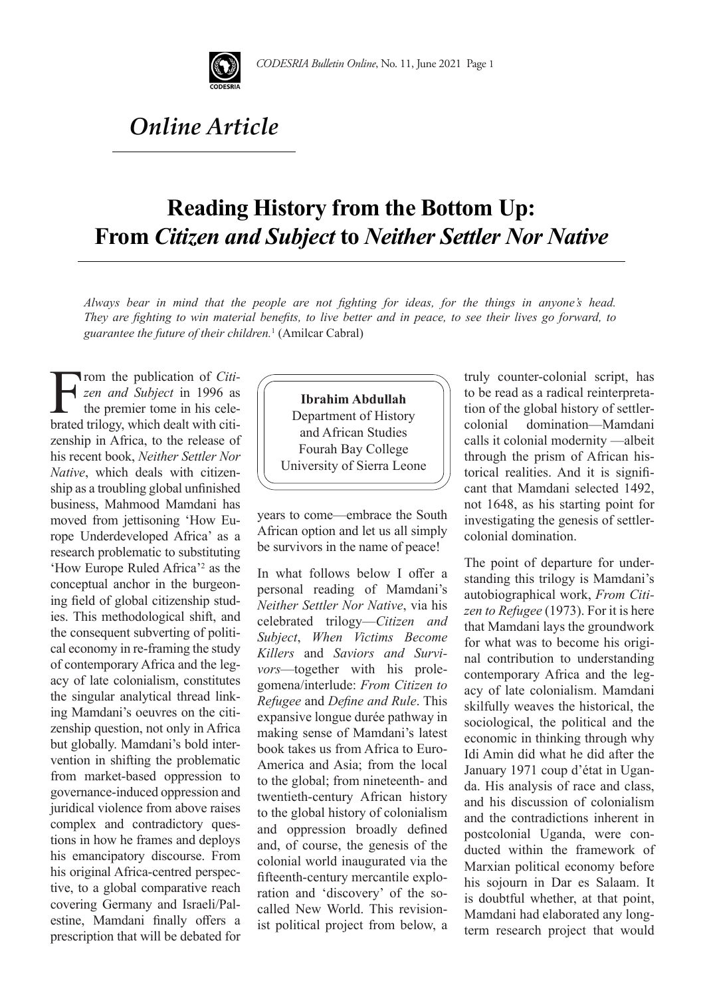

## *Online Article*

## **Reading History from the Bottom Up: From** *Citizen and Subject* **to** *Neither Settler Nor Native*

*Always bear in mind that the people are not fighting for ideas, for the things in anyone's head. They are fighting to win material benefits, to live better and in peace, to see their lives go forward, to guarantee the future of their children.*<sup>1</sup> (Amilcar Cabral)

From the publication of *Citi-*<br> *zen and Subject* in 1996 as<br>
the premier tome in his cele-<br>
brated trilogy which dealt with citi*zen and Subject* in 1996 as the premier tome in his celebrated trilogy, which dealt with citizenship in Africa, to the release of his recent book, *Neither Settler Nor Native*, which deals with citizenship as a troubling global unfinished business, Mahmood Mamdani has moved from jettisoning 'How Europe Underdeveloped Africa' as a research problematic to substituting 'How Europe Ruled Africa'2 as the conceptual anchor in the burgeoning field of global citizenship studies. This methodological shift, and the consequent subverting of political economy in re-framing the study of contemporary Africa and the legacy of late colonialism, constitutes the singular analytical thread linking Mamdani's oeuvres on the citizenship question, not only in Africa but globally. Mamdani's bold intervention in shifting the problematic from market-based oppression to governance-induced oppression and juridical violence from above raises complex and contradictory questions in how he frames and deploys his emancipatory discourse. From his original Africa-centred perspective, to a global comparative reach covering Germany and Israeli/Palestine, Mamdani finally offers a prescription that will be debated for

## **Ibrahim Abdullah**

Department of History and African Studies Fourah Bay College University of Sierra Leone

years to come—embrace the South African option and let us all simply be survivors in the name of peace!

In what follows below I offer a personal reading of Mamdani's *Neither Settler Nor Native*, via his celebrated trilogy—*Citizen and Subject*, *When Victims Become Killers* and *Saviors and Survivors*—together with his prolegomena/interlude: *From Citizen to Refugee* and *Define and Rule*. This expansive longue durée pathway in making sense of Mamdani's latest book takes us from Africa to Euro-America and Asia; from the local to the global; from nineteenth- and twentieth-century African history to the global history of colonialism and oppression broadly defined and, of course, the genesis of the colonial world inaugurated via the fifteenth-century mercantile exploration and 'discovery' of the socalled New World. This revisionist political project from below, a

truly counter-colonial script, has to be read as a radical reinterpretation of the global history of settlercolonial domination—Mamdani calls it colonial modernity —albeit through the prism of African historical realities. And it is significant that Mamdani selected 1492, not 1648, as his starting point for investigating the genesis of settlercolonial domination.

The point of departure for understanding this trilogy is Mamdani's autobiographical work, *From Citizen to Refugee* (1973). For it is here that Mamdani lays the groundwork for what was to become his original contribution to understanding contemporary Africa and the legacy of late colonialism. Mamdani skilfully weaves the historical, the sociological, the political and the economic in thinking through why Idi Amin did what he did after the January 1971 coup d'état in Uganda. His analysis of race and class, and his discussion of colonialism and the contradictions inherent in postcolonial Uganda, were conducted within the framework of Marxian political economy before his sojourn in Dar es Salaam. It is doubtful whether, at that point, Mamdani had elaborated any longterm research project that would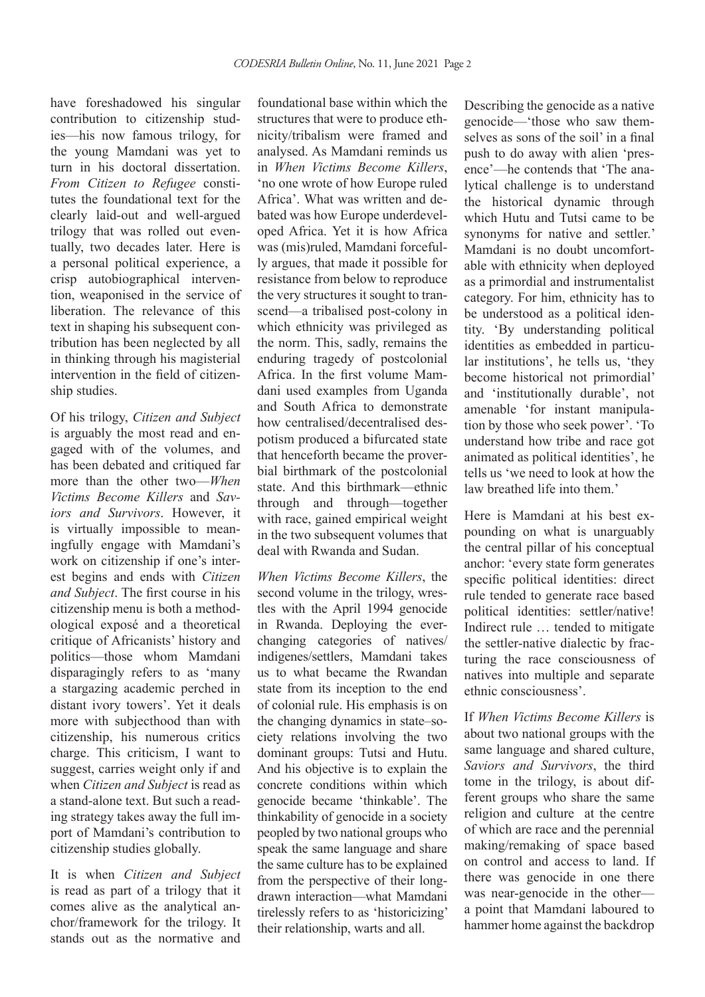have foreshadowed his singular contribution to citizenship studies—his now famous trilogy, for the young Mamdani was yet to turn in his doctoral dissertation. *From Citizen to Refugee* constitutes the foundational text for the clearly laid-out and well-argued trilogy that was rolled out eventually, two decades later. Here is a personal political experience, a crisp autobiographical intervention, weaponised in the service of liberation. The relevance of this text in shaping his subsequent contribution has been neglected by all in thinking through his magisterial intervention in the field of citizenship studies.

Of his trilogy, *Citizen and Subject* is arguably the most read and engaged with of the volumes, and has been debated and critiqued far more than the other two—*When Victims Become Killers* and *Saviors and Survivors*. However, it is virtually impossible to meaningfully engage with Mamdani's work on citizenship if one's interest begins and ends with *Citizen and Subject*. The first course in his citizenship menu is both a methodological exposé and a theoretical critique of Africanists' history and politics—those whom Mamdani disparagingly refers to as 'many a stargazing academic perched in distant ivory towers'. Yet it deals more with subjecthood than with citizenship, his numerous critics charge. This criticism, I want to suggest, carries weight only if and when *Citizen and Subject* is read as a stand-alone text. But such a reading strategy takes away the full import of Mamdani's contribution to citizenship studies globally.

It is when *Citizen and Subject* is read as part of a trilogy that it comes alive as the analytical anchor/framework for the trilogy. It stands out as the normative and

foundational base within which the structures that were to produce ethnicity/tribalism were framed and analysed. As Mamdani reminds us in *When Victims Become Killers*, 'no one wrote of how Europe ruled Africa'. What was written and debated was how Europe underdeveloped Africa. Yet it is how Africa was (mis)ruled, Mamdani forcefully argues, that made it possible for resistance from below to reproduce the very structures it sought to transcend—a tribalised post-colony in which ethnicity was privileged as the norm. This, sadly, remains the enduring tragedy of postcolonial Africa. In the first volume Mamdani used examples from Uganda and South Africa to demonstrate how centralised/decentralised despotism produced a bifurcated state that henceforth became the proverbial birthmark of the postcolonial state. And this birthmark—ethnic through and through—together with race, gained empirical weight in the two subsequent volumes that deal with Rwanda and Sudan.

*When Victims Become Killers*, the second volume in the trilogy, wrestles with the April 1994 genocide in Rwanda. Deploying the everchanging categories of natives/ indigenes/settlers, Mamdani takes us to what became the Rwandan state from its inception to the end of colonial rule. His emphasis is on the changing dynamics in state–society relations involving the two dominant groups: Tutsi and Hutu. And his objective is to explain the concrete conditions within which genocide became 'thinkable'. The thinkability of genocide in a society peopled by two national groups who speak the same language and share the same culture has to be explained from the perspective of their longdrawn interaction—what Mamdani tirelessly refers to as 'historicizing' their relationship, warts and all.

Describing the genocide as a native genocide—'those who saw themselves as sons of the soil' in a final push to do away with alien 'presence'—he contends that 'The analytical challenge is to understand the historical dynamic through which Hutu and Tutsi came to be synonyms for native and settler.' Mamdani is no doubt uncomfortable with ethnicity when deployed as a primordial and instrumentalist category. For him, ethnicity has to be understood as a political identity. 'By understanding political identities as embedded in particular institutions', he tells us, 'they become historical not primordial' and 'institutionally durable', not amenable 'for instant manipulation by those who seek power'. 'To understand how tribe and race got animated as political identities', he tells us 'we need to look at how the law breathed life into them.'

Here is Mamdani at his best expounding on what is unarguably the central pillar of his conceptual anchor: 'every state form generates specific political identities: direct rule tended to generate race based political identities: settler/native! Indirect rule … tended to mitigate the settler-native dialectic by fracturing the race consciousness of natives into multiple and separate ethnic consciousness'.

If *When Victims Become Killers* is about two national groups with the same language and shared culture, *Saviors and Survivors*, the third tome in the trilogy, is about different groups who share the same religion and culture at the centre of which are race and the perennial making/remaking of space based on control and access to land. If there was genocide in one there was near-genocide in the other a point that Mamdani laboured to hammer home against the backdrop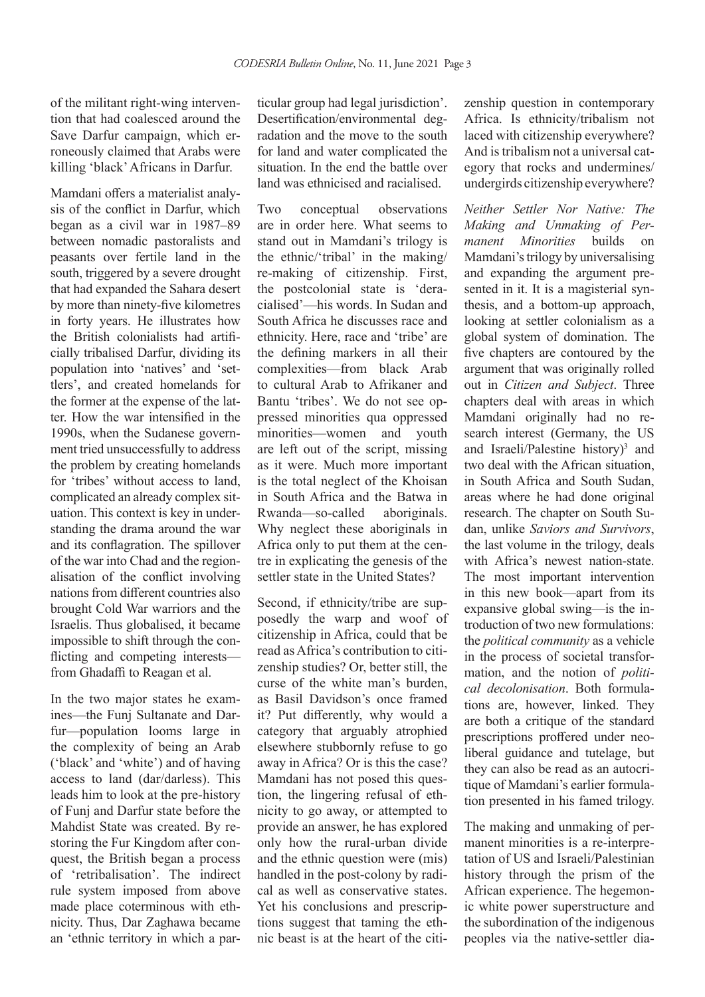of the militant right-wing intervention that had coalesced around the Save Darfur campaign, which erroneously claimed that Arabs were killing 'black' Africans in Darfur.

Mamdani offers a materialist analysis of the conflict in Darfur, which began as a civil war in 1987–89 between nomadic pastoralists and peasants over fertile land in the south, triggered by a severe drought that had expanded the Sahara desert by more than ninety-five kilometres in forty years. He illustrates how the British colonialists had artificially tribalised Darfur, dividing its population into 'natives' and 'settlers', and created homelands for the former at the expense of the latter. How the war intensified in the 1990s, when the Sudanese government tried unsuccessfully to address the problem by creating homelands for 'tribes' without access to land, complicated an already complex situation. This context is key in understanding the drama around the war and its conflagration. The spillover of the war into Chad and the regionalisation of the conflict involving nations from different countries also brought Cold War warriors and the Israelis. Thus globalised, it became impossible to shift through the conflicting and competing interests from Ghadaffi to Reagan et al.

In the two major states he examines—the Funj Sultanate and Darfur—population looms large in the complexity of being an Arab ('black' and 'white') and of having access to land (dar/darless). This leads him to look at the pre-history of Funj and Darfur state before the Mahdist State was created. By restoring the Fur Kingdom after conquest, the British began a process of 'retribalisation'. The indirect rule system imposed from above made place coterminous with ethnicity. Thus, Dar Zaghawa became an 'ethnic territory in which a particular group had legal jurisdiction'. Desertification/environmental degradation and the move to the south for land and water complicated the situation. In the end the battle over land was ethnicised and racialised.

Two conceptual observations are in order here. What seems to stand out in Mamdani's trilogy is the ethnic/'tribal' in the making/ re-making of citizenship. First, the postcolonial state is 'deracialised'—his words. In Sudan and South Africa he discusses race and ethnicity. Here, race and 'tribe' are the defining markers in all their complexities—from black Arab to cultural Arab to Afrikaner and Bantu 'tribes'. We do not see oppressed minorities qua oppressed minorities—women and youth are left out of the script, missing as it were. Much more important is the total neglect of the Khoisan in South Africa and the Batwa in Rwanda—so-called aboriginals. Why neglect these aboriginals in Africa only to put them at the centre in explicating the genesis of the settler state in the United States?

Second, if ethnicity/tribe are supposedly the warp and woof of citizenship in Africa, could that be read as Africa's contribution to citizenship studies? Or, better still, the curse of the white man's burden, as Basil Davidson's once framed it? Put differently, why would a category that arguably atrophied elsewhere stubbornly refuse to go away in Africa? Or is this the case? Mamdani has not posed this question, the lingering refusal of ethnicity to go away, or attempted to provide an answer, he has explored only how the rural-urban divide and the ethnic question were (mis) handled in the post-colony by radical as well as conservative states. Yet his conclusions and prescriptions suggest that taming the ethnic beast is at the heart of the citizenship question in contemporary Africa. Is ethnicity/tribalism not laced with citizenship everywhere? And is tribalism not a universal category that rocks and undermines/ undergirds citizenship everywhere?

*Neither Settler Nor Native: The Making and Unmaking of Permanent Minorities* builds on Mamdani's trilogy by universalising and expanding the argument presented in it. It is a magisterial synthesis, and a bottom-up approach, looking at settler colonialism as a global system of domination. The five chapters are contoured by the argument that was originally rolled out in *Citizen and Subject*. Three chapters deal with areas in which Mamdani originally had no research interest (Germany, the US and Israeli/Palestine history)<sup>3</sup> and two deal with the African situation, in South Africa and South Sudan, areas where he had done original research. The chapter on South Sudan, unlike *Saviors and Survivors*, the last volume in the trilogy, deals with Africa's newest nation-state. The most important intervention in this new book—apart from its expansive global swing—is the introduction of two new formulations: the *political community* as a vehicle in the process of societal transformation, and the notion of *political decolonisation*. Both formulations are, however, linked. They are both a critique of the standard prescriptions proffered under neoliberal guidance and tutelage, but they can also be read as an autocritique of Mamdani's earlier formulation presented in his famed trilogy.

The making and unmaking of permanent minorities is a re-interpretation of US and Israeli/Palestinian history through the prism of the African experience. The hegemonic white power superstructure and the subordination of the indigenous peoples via the native-settler dia-